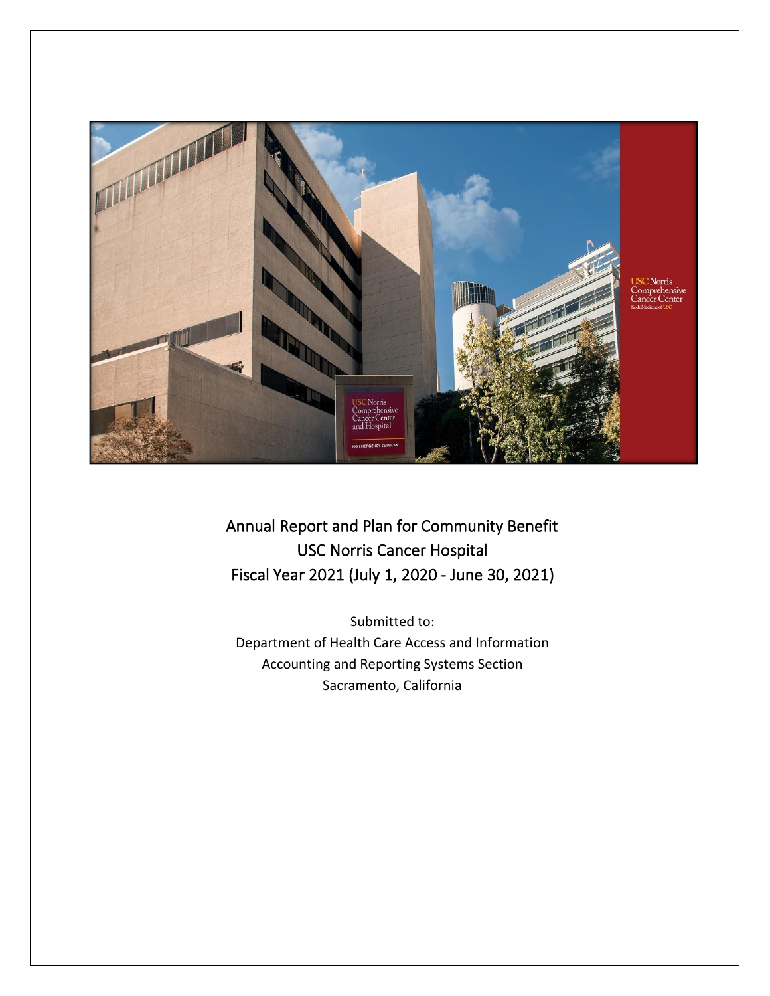

Annual Report and Plan for Community Benefit USC Norris Cancer Hospital Fiscal Year 2021 (July 1, 2020 - June 30, 2021)

Submitted to: Department of Health Care Access and Information Accounting and Reporting Systems Section Sacramento, California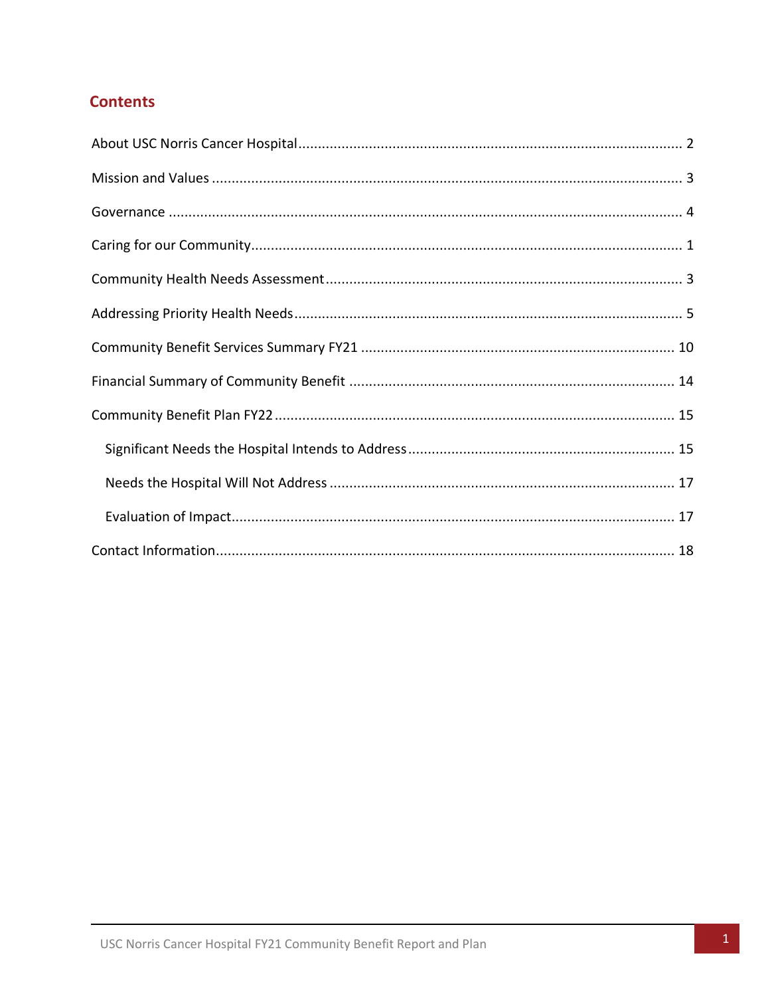# **Contents**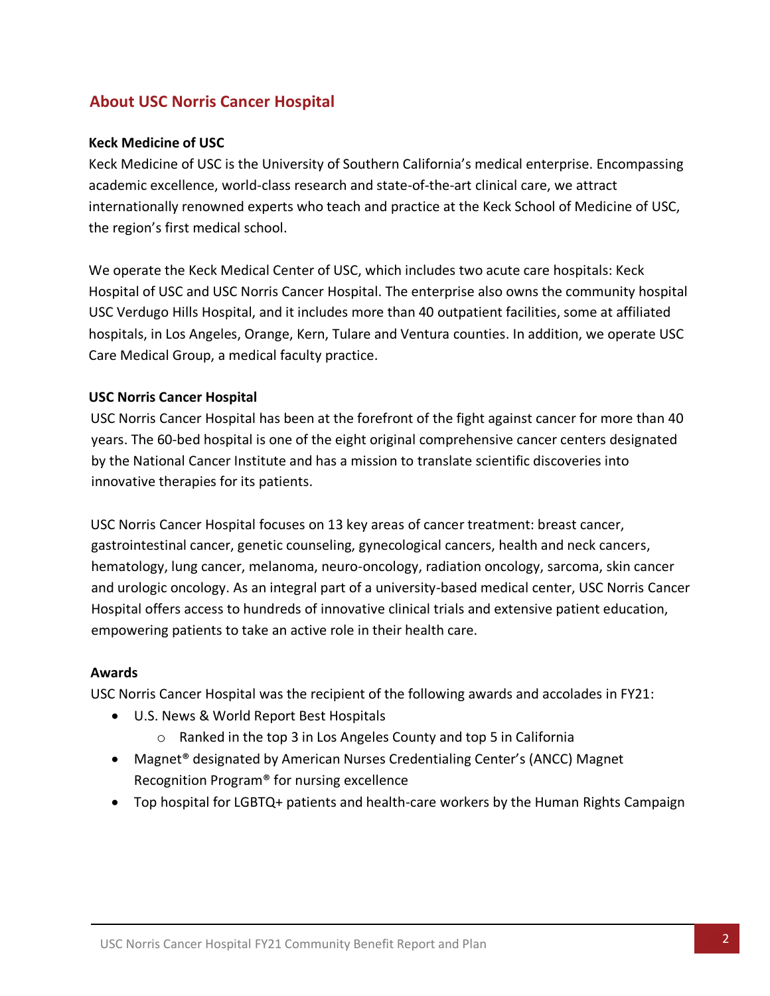# <span id="page-2-0"></span>**About USC Norris Cancer Hospital**

#### **Keck Medicine of USC**

Keck Medicine of USC is the University of Southern California's medical enterprise. Encompassing academic excellence, world-class research and state-of-the-art clinical care, we attract internationally renowned experts who teach and practice at the Keck School of Medicine of USC, the region's first medical school.

We operate the Keck Medical Center of USC, which includes two acute care hospitals: Keck Hospital of USC and USC Norris Cancer Hospital. The enterprise also owns the community hospital USC Verdugo Hills Hospital, and it includes more than 40 outpatient facilities, some at affiliated hospitals, in Los Angeles, Orange, Kern, Tulare and Ventura counties. In addition, we operate USC Care Medical Group, a medical faculty practice.

#### **USC Norris Cancer Hospital**

USC Norris Cancer Hospital has been at the forefront of the fight against cancer for more than 40 years. The 60-bed hospital is one of the eight original comprehensive cancer centers designated by the National Cancer Institute and has a mission to translate scientific discoveries into innovative therapies for its patients.

USC Norris Cancer Hospital focuses on 13 key areas of cancer treatment: breast cancer, gastrointestinal cancer, genetic counseling, gynecological cancers, health and neck cancers, hematology, lung cancer, melanoma, neuro-oncology, radiation oncology, sarcoma, skin cancer and urologic oncology. As an integral part of a university-based medical center, USC Norris Cancer Hospital offers access to hundreds of innovative clinical trials and extensive patient education, empowering patients to take an active role in their health care.

#### **Awards**

USC Norris Cancer Hospital was the recipient of the following awards and accolades in FY21:

- U.S. News & World Report Best Hospitals
	- o Ranked in the top 3 in Los Angeles County and top 5 in California
- Magnet® designated by American Nurses Credentialing Center's (ANCC) Magnet Recognition Program® for nursing excellence
- Top hospital for LGBTQ+ patients and health-care workers by the Human Rights Campaign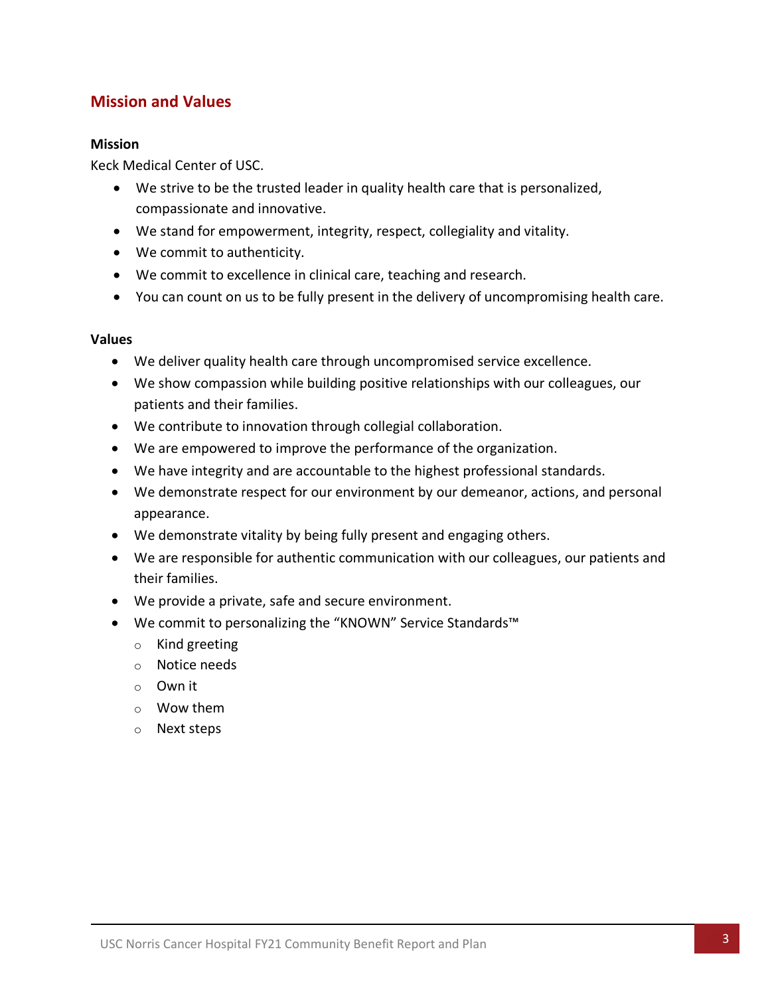# <span id="page-3-0"></span>**Mission and Values**

#### **Mission**

Keck Medical Center of USC.

- We strive to be the trusted leader in quality health care that is personalized, compassionate and innovative.
- We stand for empowerment, integrity, respect, collegiality and vitality.
- We commit to authenticity.
- We commit to excellence in clinical care, teaching and research.
- You can count on us to be fully present in the delivery of uncompromising health care.

#### **Values**

- We deliver quality health care through uncompromised service excellence.
- We show compassion while building positive relationships with our colleagues, our patients and their families.
- We contribute to innovation through collegial collaboration.
- We are empowered to improve the performance of the organization.
- We have integrity and are accountable to the highest professional standards.
- We demonstrate respect for our environment by our demeanor, actions, and personal appearance.
- We demonstrate vitality by being fully present and engaging others.
- We are responsible for authentic communication with our colleagues, our patients and their families.
- We provide a private, safe and secure environment.
- We commit to personalizing the "KNOWN" Service Standards™
	- o Kind greeting
	- o Notice needs
	- o Own it
	- o Wow them
	- o Next steps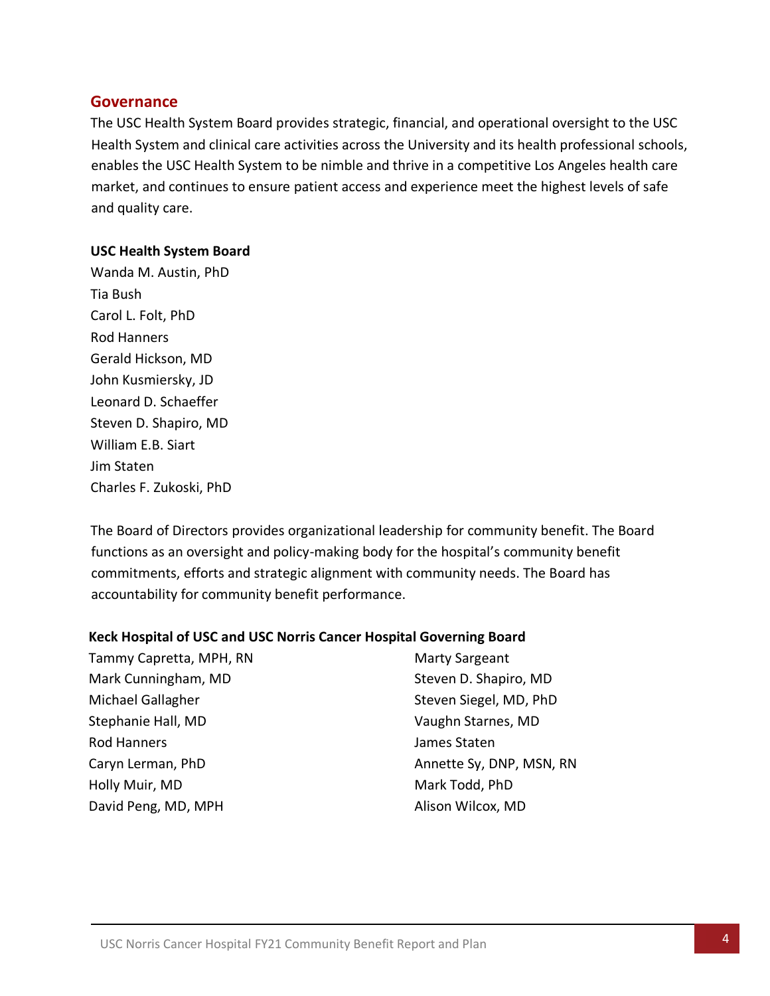### <span id="page-4-0"></span>**Governance**

The USC Health System Board provides strategic, financial, and operational oversight to the USC Health System and clinical care activities across the University and its health professional schools, enables the USC Health System to be nimble and thrive in a competitive Los Angeles health care market, and continues to ensure patient access and experience meet the highest levels of safe and quality care.

#### **USC Health System Board**

Wanda M. Austin, PhD Tia Bush Carol L. Folt, PhD Rod Hanners Gerald Hickson, MD John Kusmiersky, JD Leonard D. Schaeffer Steven D. Shapiro, MD William E.B. Siart Jim Staten Charles F. Zukoski, PhD

The Board of Directors provides organizational leadership for community benefit. The Board functions as an oversight and policy-making body for the hospital's community benefit commitments, efforts and strategic alignment with community needs. The Board has accountability for community benefit performance.

#### **Keck Hospital of USC and USC Norris Cancer Hospital Governing Board**

| Tammy Capretta, MPH, RN | <b>Marty Sargeant</b>    |
|-------------------------|--------------------------|
| Mark Cunningham, MD     | Steven D. Shapiro, MD    |
| Michael Gallagher       | Steven Siegel, MD, PhD   |
| Stephanie Hall, MD      | Vaughn Starnes, MD       |
| <b>Rod Hanners</b>      | James Staten             |
| Caryn Lerman, PhD       | Annette Sy, DNP, MSN, RN |
| Holly Muir, MD          | Mark Todd, PhD           |
| David Peng, MD, MPH     | Alison Wilcox, MD        |
|                         |                          |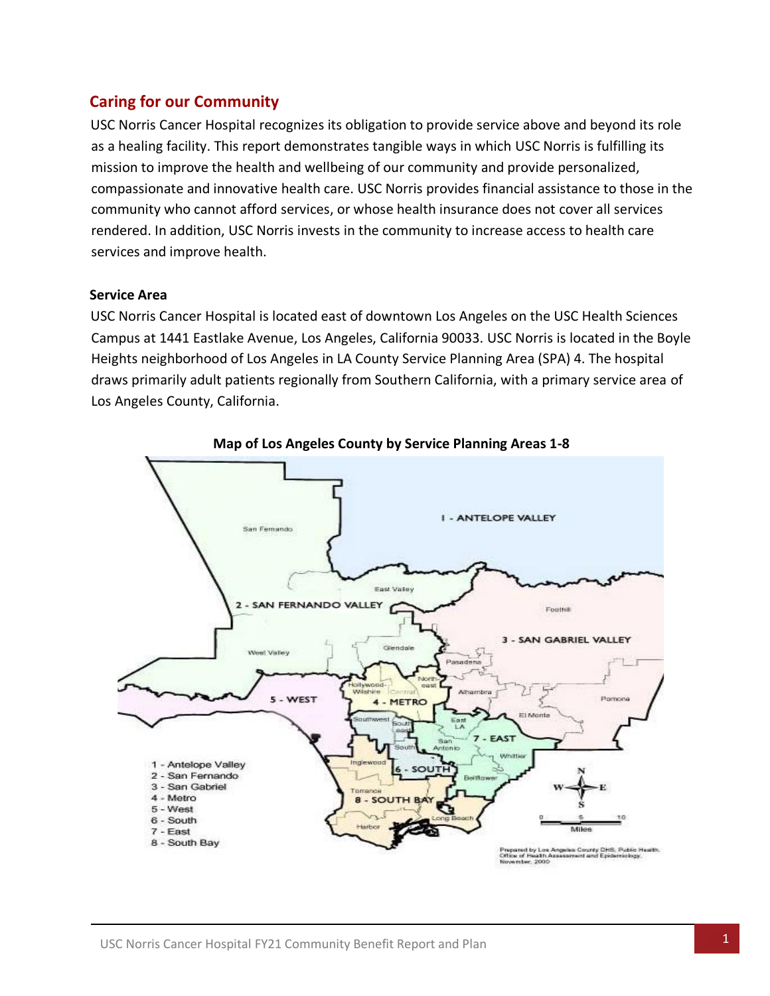# <span id="page-5-0"></span>**Caring for our Community**

USC Norris Cancer Hospital recognizes its obligation to provide service above and beyond its role as a healing facility. This report demonstrates tangible ways in which USC Norris is fulfilling its mission to improve the health and wellbeing of our community and provide personalized, compassionate and innovative health care. USC Norris provides financial assistance to those in the community who cannot afford services, or whose health insurance does not cover all services rendered. In addition, USC Norris invests in the community to increase access to health care services and improve health.

#### **Service Area**

USC Norris Cancer Hospital is located east of downtown Los Angeles on the USC Health Sciences Campus at 1441 Eastlake Avenue, Los Angeles, California 90033. USC Norris is located in the Boyle Heights neighborhood of Los Angeles in LA County Service Planning Area (SPA) 4. The hospital draws primarily adult patients regionally from Southern California, with a primary service area of Los Angeles County, California.



**Map of Los Angeles County by Service Planning Areas 1-8**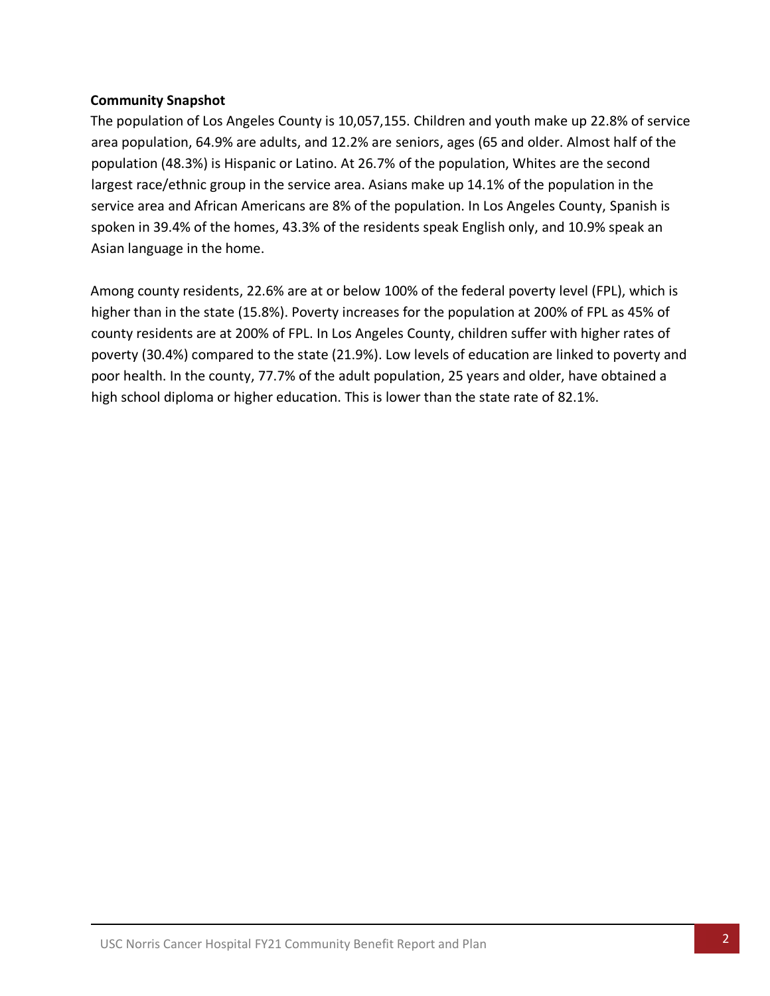#### **Community Snapshot**

The population of Los Angeles County is 10,057,155. Children and youth make up 22.8% of service area population, 64.9% are adults, and 12.2% are seniors, ages (65 and older. Almost half of the population (48.3%) is Hispanic or Latino. At 26.7% of the population, Whites are the second largest race/ethnic group in the service area. Asians make up 14.1% of the population in the service area and African Americans are 8% of the population. In Los Angeles County, Spanish is spoken in 39.4% of the homes, 43.3% of the residents speak English only, and 10.9% speak an Asian language in the home.

Among county residents, 22.6% are at or below 100% of the federal poverty level (FPL), which is higher than in the state (15.8%). Poverty increases for the population at 200% of FPL as 45% of county residents are at 200% of FPL. In Los Angeles County, children suffer with higher rates of poverty (30.4%) compared to the state (21.9%). Low levels of education are linked to poverty and poor health. In the county, 77.7% of the adult population, 25 years and older, have obtained a high school diploma or higher education. This is lower than the state rate of 82.1%.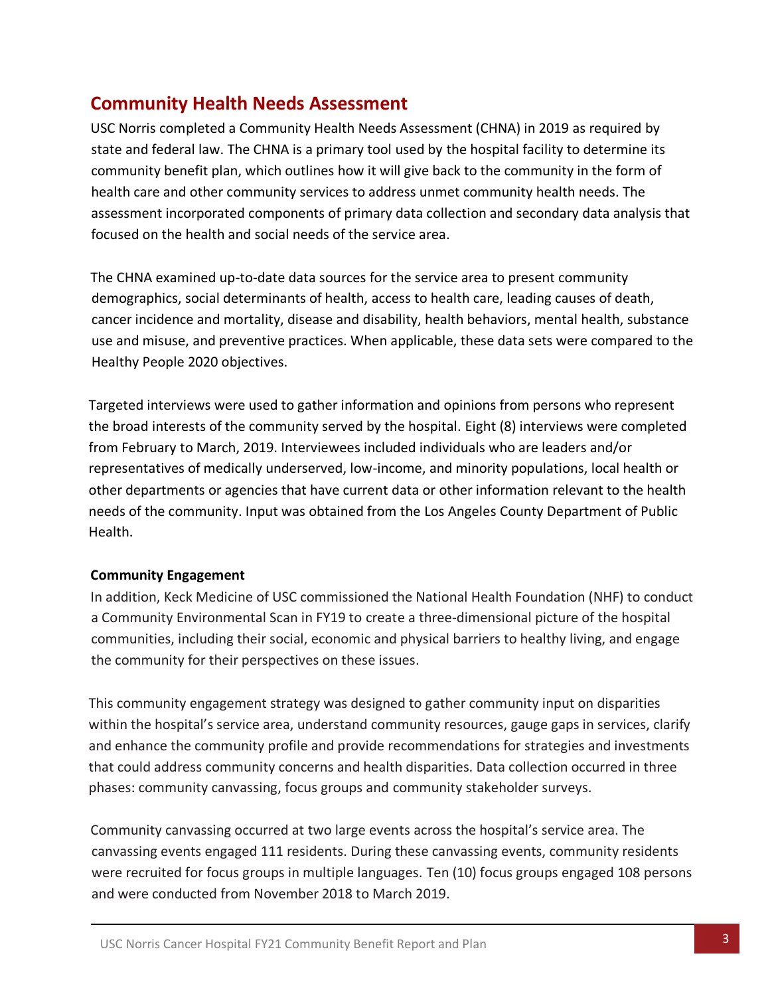# <span id="page-7-0"></span>**Community Health Needs Assessment**

USC Norris completed a Community Health Needs Assessment (CHNA) in 2019 as required by state and federal law. The CHNA is a primary tool used by the hospital facility to determine its community benefit plan, which outlines how it will give back to the community in the form of health care and other community services to address unmet community health needs. The assessment incorporated components of primary data collection and secondary data analysis that focused on the health and social needs of the service area.

The CHNA examined up-to-date data sources for the service area to present community demographics, social determinants of health, access to health care, leading causes of death, cancer incidence and mortality, disease and disability, health behaviors, mental health, substance use and misuse, and preventive practices. When applicable, these data sets were compared to the Healthy People 2020 objectives.

Targeted interviews were used to gather information and opinions from persons who represent the broad interests of the community served by the hospital. Eight (8) interviews were completed from February to March, 2019. Interviewees included individuals who are leaders and/or representatives of medically underserved, low-income, and minority populations, local health or other departments or agencies that have current data or other information relevant to the health needs of the community. Input was obtained from the Los Angeles County Department of Public Health.

#### **Community Engagement**

In addition, Keck Medicine of USC commissioned the National Health Foundation (NHF) to conduct a Community Environmental Scan in FY19 to create a three-dimensional picture of the hospital communities, including their social, economic and physical barriers to healthy living, and engage the community for their perspectives on these issues.

This community engagement strategy was designed to gather community input on disparities within the hospital's service area, understand community resources, gauge gaps in services, clarify and enhance the community profile and provide recommendations for strategies and investments that could address community concerns and health disparities. Data collection occurred in three phases: community canvassing, focus groups and community stakeholder surveys.

Community canvassing occurred at two large events across the hospital's service area. The canvassing events engaged 111 residents. During these canvassing events, community residents were recruited for focus groups in multiple languages. Ten (10) focus groups engaged 108 persons and were conducted from November 2018 to March 2019.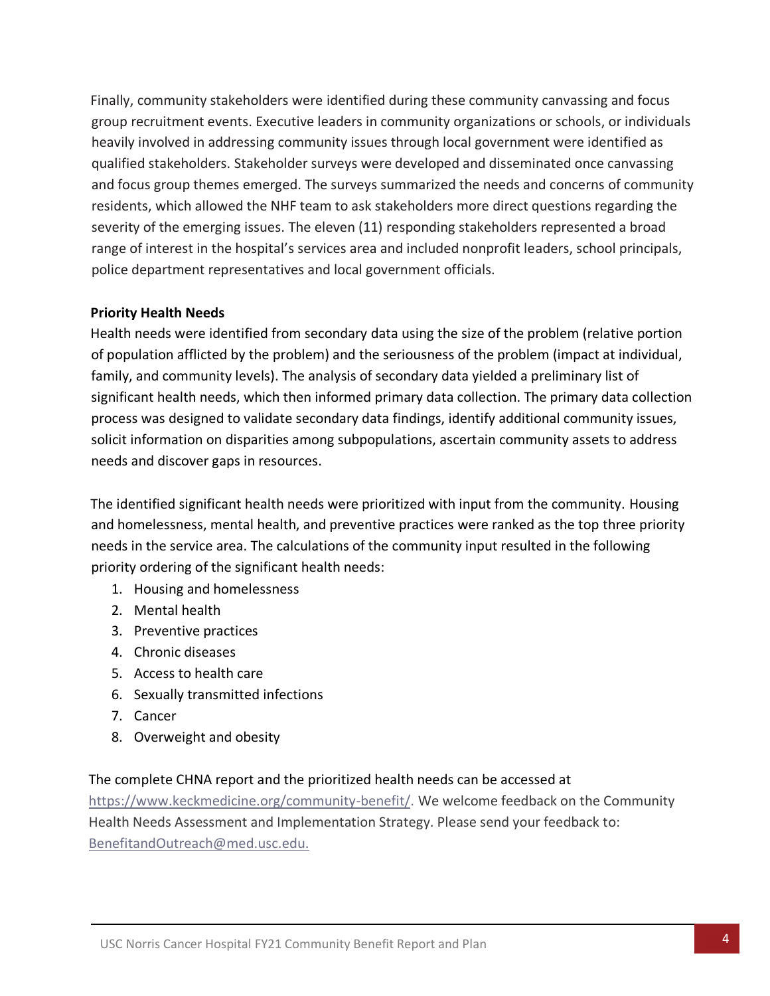Finally, community stakeholders were identified during these community canvassing and focus group recruitment events. Executive leaders in community organizations or schools, or individuals heavily involved in addressing community issues through local government were identified as qualified stakeholders. Stakeholder surveys were developed and disseminated once canvassing and focus group themes emerged. The surveys summarized the needs and concerns of community residents, which allowed the NHF team to ask stakeholders more direct questions regarding the severity of the emerging issues. The eleven (11) responding stakeholders represented a broad range of interest in the hospital's services area and included nonprofit leaders, school principals, police department representatives and local government officials.

#### **Priority Health Needs**

Health needs were identified from secondary data using the size of the problem (relative portion of population afflicted by the problem) and the seriousness of the problem (impact at individual, family, and community levels). The analysis of secondary data yielded a preliminary list of significant health needs, which then informed primary data collection. The primary data collection process was designed to validate secondary data findings, identify additional community issues, solicit information on disparities among subpopulations, ascertain community assets to address needs and discover gaps in resources.

The identified significant health needs were prioritized with input from the community. Housing and homelessness, mental health, and preventive practices were ranked as the top three priority needs in the service area. The calculations of the community input resulted in the following priority ordering of the significant health needs:

- 1. Housing and homelessness
- 2. Mental health
- 3. Preventive practices
- 4. Chronic diseases
- 5. Access to health care
- 6. Sexually transmitted infections
- 7. Cancer
- 8. Overweight and obesity

### The complete CHNA report and the prioritized health needs can be accessed at

[https://www.keckmedicine.org/community-benefit/.](https://www.keckmedicine.org/community-benefit/) We welcome feedback on the Community Health Needs Assessment and Implementation Strategy. Please send your feedback to: [BenefitandOutreach@med.usc.edu.](mailto:BenefitandOutreach@med.usc.edu.)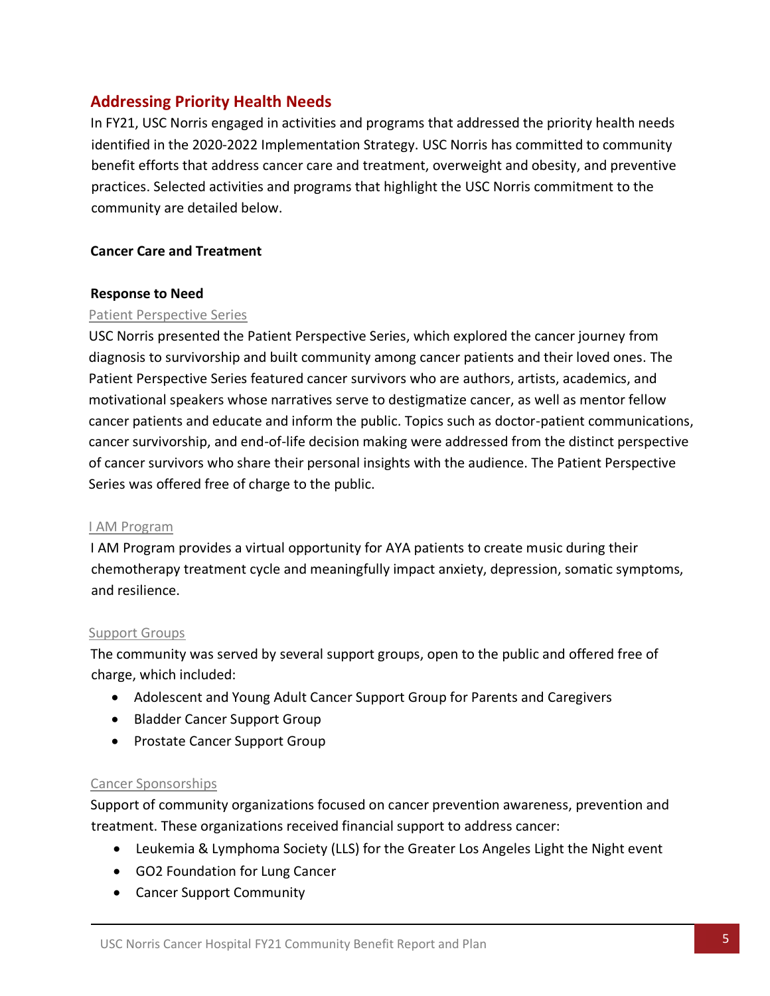# <span id="page-9-0"></span>**Addressing Priority Health Needs**

In FY21, USC Norris engaged in activities and programs that addressed the priority health needs identified in the 2020-2022 Implementation Strategy. USC Norris has committed to community benefit efforts that address cancer care and treatment, overweight and obesity, and preventive practices. Selected activities and programs that highlight the USC Norris commitment to the community are detailed below.

#### **Cancer Care and Treatment**

#### **Response to Need**

#### Patient Perspective Series

USC Norris presented the Patient Perspective Series, which explored the cancer journey from diagnosis to survivorship and built community among cancer patients and their loved ones. The Patient Perspective Series featured cancer survivors who are authors, artists, academics, and motivational speakers whose narratives serve to destigmatize cancer, as well as mentor fellow cancer patients and educate and inform the public. Topics such as doctor-patient communications, cancer survivorship, and end-of-life decision making were addressed from the distinct perspective of cancer survivors who share their personal insights with the audience. The Patient Perspective Series was offered free of charge to the public.

#### I AM Program

I AM Program provides a virtual opportunity for AYA patients to create music during their chemotherapy treatment cycle and meaningfully impact anxiety, depression, somatic symptoms, and resilience.

#### Support Groups

The community was served by several support groups, open to the public and offered free of charge, which included:

- Adolescent and Young Adult Cancer Support Group for Parents and Caregivers
- Bladder Cancer Support Group
- Prostate Cancer Support Group

### Cancer Sponsorships

Support of community organizations focused on cancer prevention awareness, prevention and treatment. These organizations received financial support to address cancer:

- Leukemia & Lymphoma Society (LLS) for the Greater Los Angeles Light the Night event
- GO2 Foundation for Lung Cancer
- Cancer Support Community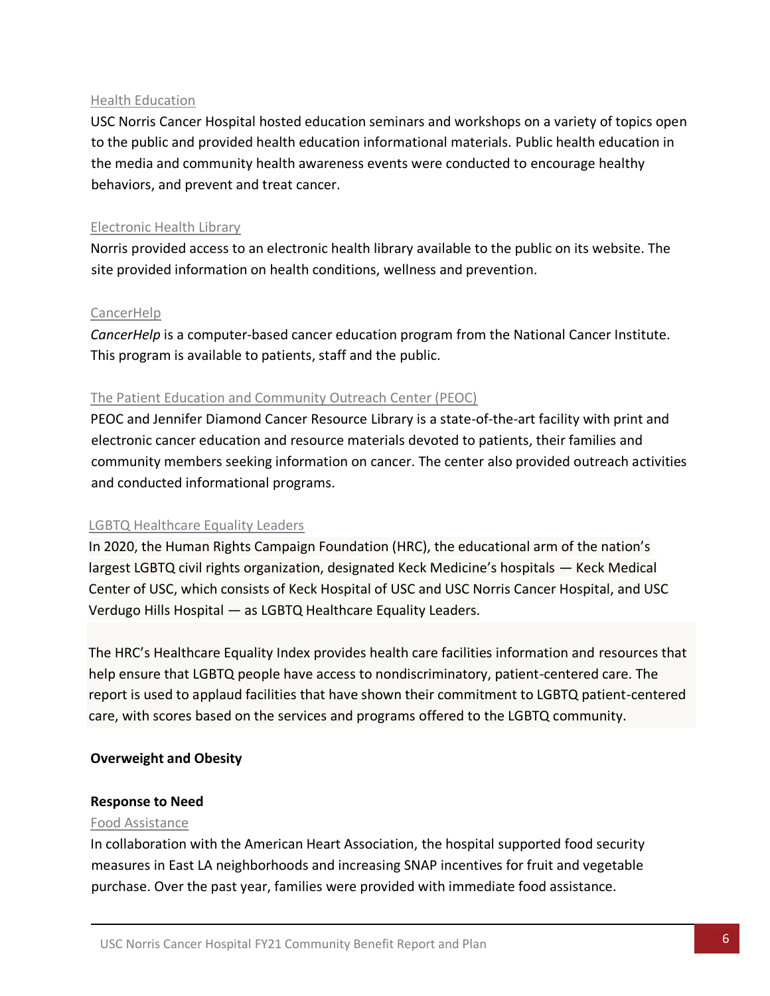#### Health Education

USC Norris Cancer Hospital hosted education seminars and workshops on a variety of topics open to the public and provided health education informational materials. Public health education in the media and community health awareness events were conducted to encourage healthy behaviors, and prevent and treat cancer.

#### Electronic Health Library

Norris provided access to an electronic health library available to the public on its website. The site provided information on health conditions, wellness and prevention.

#### CancerHelp

*CancerHelp* is a computer-based cancer education program from the National Cancer Institute. This program is available to patients, staff and the public.

### The Patient Education and Community Outreach Center (PEOC)

PEOC and Jennifer Diamond Cancer Resource Library is a state-of-the-art facility with print and electronic cancer education and resource materials devoted to patients, their families and community members seeking information on cancer. The center also provided outreach activities and conducted informational programs.

#### LGBTQ Healthcare Equality Leaders

In 2020, the Human Rights Campaign Foundation (HRC), the educational arm of the nation's largest LGBTQ civil rights organization, designated Keck Medicine's hospitals — Keck Medical Center of USC, which consists of Keck Hospital of USC and USC Norris Cancer Hospital, and USC Verdugo Hills Hospital — as LGBTQ Healthcare Equality Leaders.

The HRC's Healthcare Equality Index provides health care facilities information and resources that help ensure that LGBTQ people have access to nondiscriminatory, patient-centered care. The report is used to applaud facilities that have shown their commitment to LGBTQ patient-centered care, with scores based on the services and programs offered to the LGBTQ community.

#### **Overweight and Obesity**

#### **Response to Need**

#### Food Assistance

In collaboration with the American Heart Association, the hospital supported food security measures in East LA neighborhoods and increasing SNAP incentives for fruit and vegetable purchase. Over the past year, families were provided with immediate food assistance.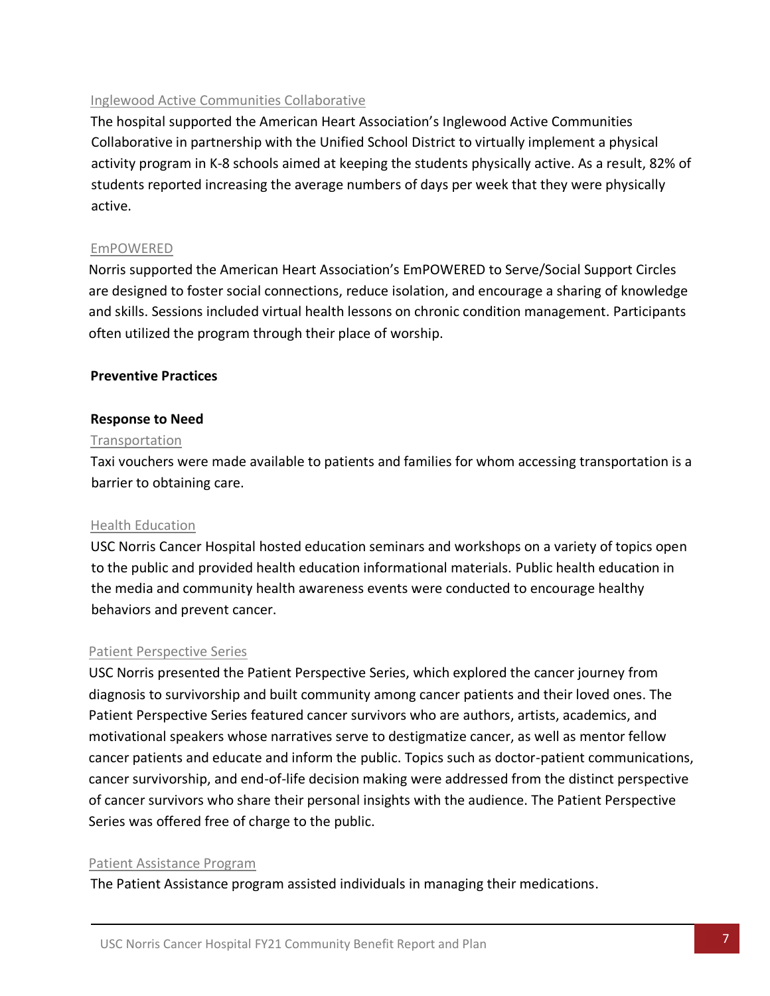#### Inglewood Active Communities Collaborative

The hospital supported the American Heart Association's Inglewood Active Communities Collaborative in partnership with the Unified School District to virtually implement a physical activity program in K-8 schools aimed at keeping the students physically active. As a result, 82% of students reported increasing the average numbers of days per week that they were physically active.

#### EmPOWERED

Norris supported the American Heart Association's EmPOWERED to Serve/Social Support Circles are designed to foster social connections, reduce isolation, and encourage a sharing of knowledge and skills. Sessions included virtual health lessons on chronic condition management. Participants often utilized the program through their place of worship.

#### **Preventive Practices**

#### **Response to Need**

#### Transportation

Taxi vouchers were made available to patients and families for whom accessing transportation is a barrier to obtaining care.

#### Health Education

USC Norris Cancer Hospital hosted education seminars and workshops on a variety of topics open to the public and provided health education informational materials. Public health education in the media and community health awareness events were conducted to encourage healthy behaviors and prevent cancer.

#### Patient Perspective Series

USC Norris presented the Patient Perspective Series, which explored the cancer journey from diagnosis to survivorship and built community among cancer patients and their loved ones. The Patient Perspective Series featured cancer survivors who are authors, artists, academics, and motivational speakers whose narratives serve to destigmatize cancer, as well as mentor fellow cancer patients and educate and inform the public. Topics such as doctor-patient communications, cancer survivorship, and end-of-life decision making were addressed from the distinct perspective of cancer survivors who share their personal insights with the audience. The Patient Perspective Series was offered free of charge to the public.

#### Patient Assistance Program

The Patient Assistance program assisted individuals in managing their medications.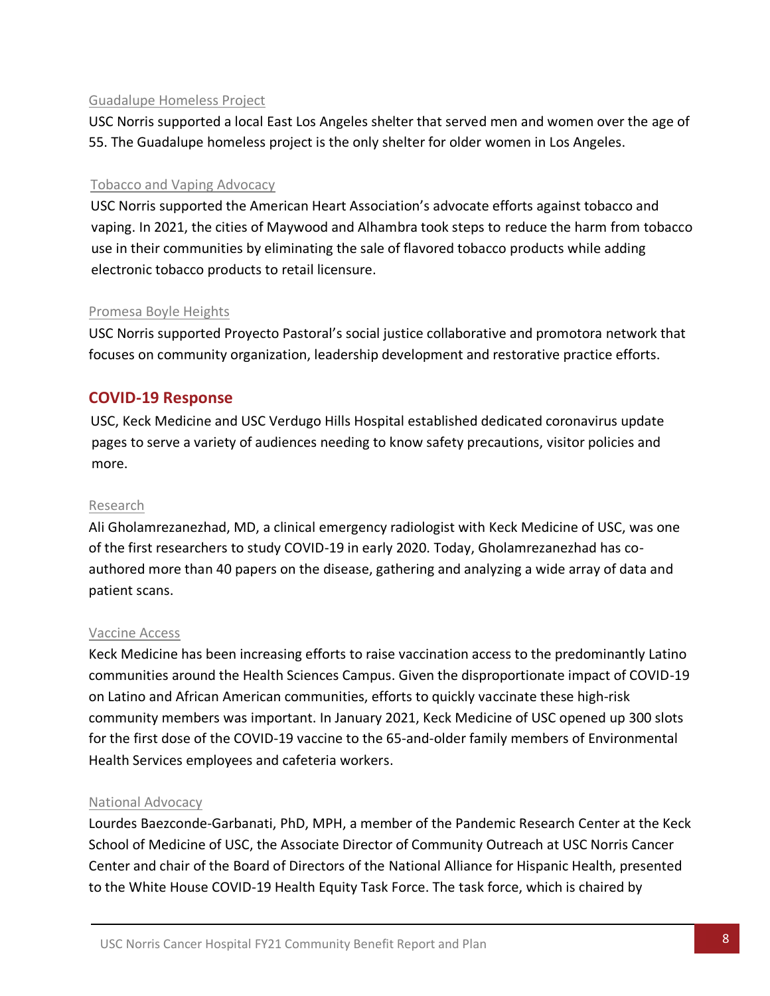#### Guadalupe Homeless Project

USC Norris supported a local East Los Angeles shelter that served men and women over the age of 55. The Guadalupe homeless project is the only shelter for older women in Los Angeles.

#### Tobacco and Vaping Advocacy

USC Norris supported the American Heart Association's advocate efforts against tobacco and vaping. In 2021, the cities of Maywood and Alhambra took steps to reduce the harm from tobacco use in their communities by eliminating the sale of flavored tobacco products while adding electronic tobacco products to retail licensure.

#### Promesa Boyle Heights

USC Norris supported Proyecto Pastoral's social justice collaborative and promotora network that focuses on community organization, leadership development and restorative practice efforts.

# **COVID-19 Response**

USC, Keck Medicine and USC Verdugo Hills Hospital established dedicated coronavirus update pages to serve a variety of audiences needing to know safety precautions, visitor policies and more.

#### Research

Ali Gholamrezanezhad, MD, a clinical emergency radiologist with Keck Medicine of USC, was one of the first researchers to study COVID-19 in early 2020. Today, Gholamrezanezhad has coauthored more than 40 papers on the disease, gathering and analyzing a wide array of data and patient scans.

#### Vaccine Access

Keck Medicine has been increasing efforts to raise vaccination access to the predominantly Latino communities around the Health Sciences Campus. Given the disproportionate impact of COVID-19 on Latino and African American communities, efforts to quickly vaccinate these high-risk community members was important. In January 2021, Keck Medicine of USC opened up 300 slots for the first dose of the COVID-19 vaccine to the 65-and-older family members of Environmental Health Services employees and cafeteria workers.

#### National Advocacy

Lourdes Baezconde-Garbanati, PhD, MPH, a member of the Pandemic Research Center at the Keck School of Medicine of USC, the Associate Director of Community Outreach at USC Norris Cancer Center and chair of the Board of Directors of the National Alliance for Hispanic Health, presented to the White House COVID-19 Health Equity Task Force. The task force, which is chaired by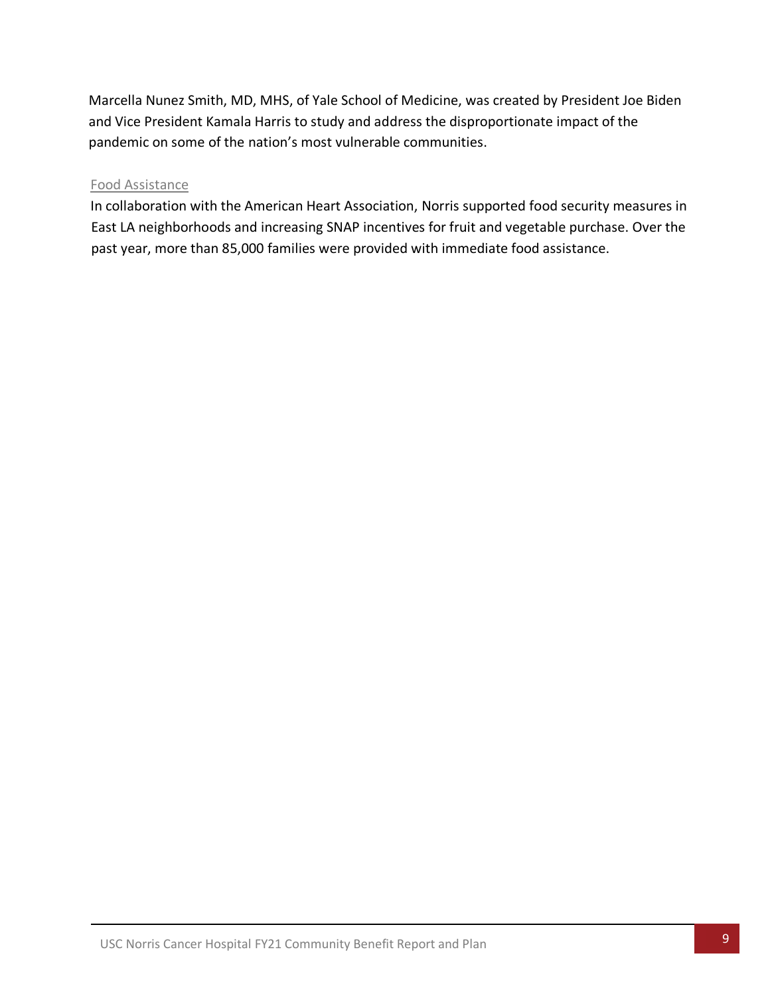Marcella Nunez Smith, MD, MHS, of Yale School of Medicine, was created by President Joe Biden and Vice President Kamala Harris to study and address the disproportionate impact of the pandemic on some of the nation's most vulnerable communities.

#### Food Assistance

In collaboration with the American Heart Association, Norris supported food security measures in East LA neighborhoods and increasing SNAP incentives for fruit and vegetable purchase. Over the past year, more than 85,000 families were provided with immediate food assistance.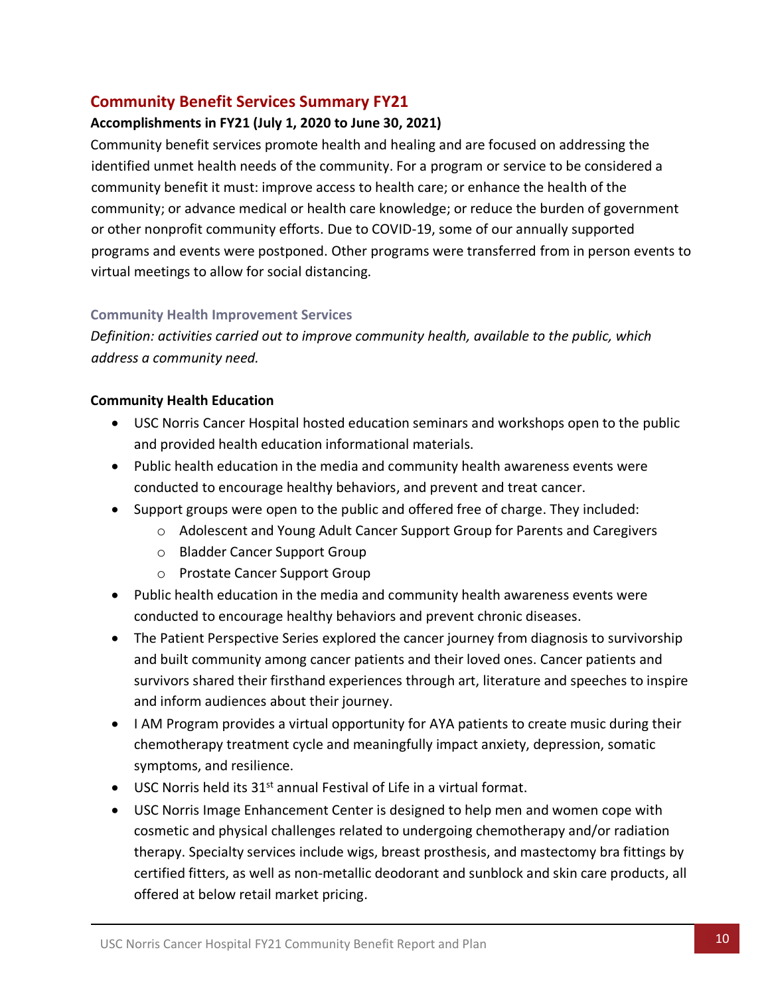# <span id="page-14-0"></span>**Community Benefit Services Summary FY21**

### **Accomplishments in FY21 (July 1, 2020 to June 30, 2021)**

Community benefit services promote health and healing and are focused on addressing the identified unmet health needs of the community. For a program or service to be considered a community benefit it must: improve access to health care; or enhance the health of the community; or advance medical or health care knowledge; or reduce the burden of government or other nonprofit community efforts. Due to COVID-19, some of our annually supported programs and events were postponed. Other programs were transferred from in person events to virtual meetings to allow for social distancing.

### **Community Health Improvement Services**

*Definition: activities carried out to improve community health, available to the public, which address a community need.* 

#### **Community Health Education**

- USC Norris Cancer Hospital hosted education seminars and workshops open to the public and provided health education informational materials.
- Public health education in the media and community health awareness events were conducted to encourage healthy behaviors, and prevent and treat cancer.
- Support groups were open to the public and offered free of charge. They included:
	- o Adolescent and Young Adult Cancer Support Group for Parents and Caregivers
	- o Bladder Cancer Support Group
	- o Prostate Cancer Support Group
- Public health education in the media and community health awareness events were conducted to encourage healthy behaviors and prevent chronic diseases.
- The Patient Perspective Series explored the cancer journey from diagnosis to survivorship and built community among cancer patients and their loved ones. Cancer patients and survivors shared their firsthand experiences through art, literature and speeches to inspire and inform audiences about their journey.
- I AM Program provides a virtual opportunity for AYA patients to create music during their chemotherapy treatment cycle and meaningfully impact anxiety, depression, somatic symptoms, and resilience.
- $\bullet$  USC Norris held its 31<sup>st</sup> annual Festival of Life in a virtual format.
- USC Norris Image Enhancement Center is designed to help men and women cope with cosmetic and physical challenges related to undergoing chemotherapy and/or radiation therapy. Specialty services include wigs, breast prosthesis, and mastectomy bra fittings by certified fitters, as well as non-metallic deodorant and sunblock and skin care products, all offered at below retail market pricing.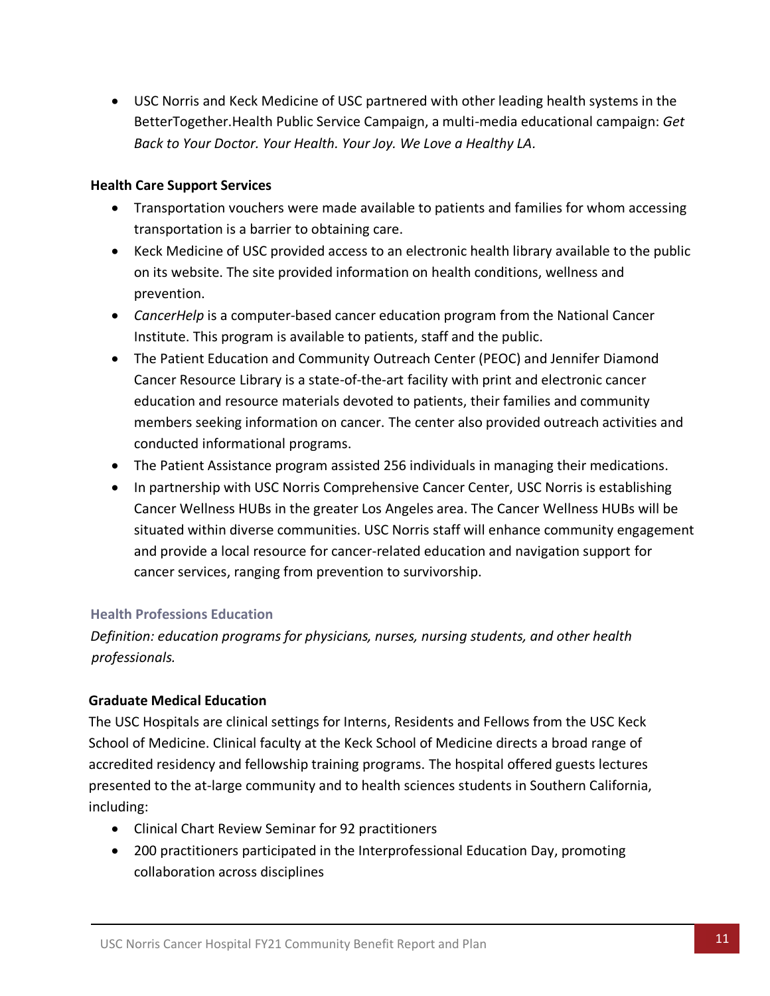• USC Norris and Keck Medicine of USC partnered with other leading health systems in the BetterTogether.Health Public Service Campaign, a multi-media educational campaign: *Get Back to Your Doctor. Your Health. Your Joy. We Love a Healthy LA.*

### **Health Care Support Services**

- Transportation vouchers were made available to patients and families for whom accessing transportation is a barrier to obtaining care.
- Keck Medicine of USC provided access to an electronic health library available to the public on its website. The site provided information on health conditions, wellness and prevention.
- *CancerHelp* is a computer-based cancer education program from the National Cancer Institute. This program is available to patients, staff and the public.
- The Patient Education and Community Outreach Center (PEOC) and Jennifer Diamond Cancer Resource Library is a state-of-the-art facility with print and electronic cancer education and resource materials devoted to patients, their families and community members seeking information on cancer. The center also provided outreach activities and conducted informational programs.
- The Patient Assistance program assisted 256 individuals in managing their medications.
- In partnership with USC Norris Comprehensive Cancer Center, USC Norris is establishing Cancer Wellness HUBs in the greater Los Angeles area. The Cancer Wellness HUBs will be situated within diverse communities. USC Norris staff will enhance community engagement and provide a local resource for cancer-related education and navigation support for cancer services, ranging from prevention to survivorship.

### **Health Professions Education**

*Definition: education programs for physicians, nurses, nursing students, and other health professionals.*

### **Graduate Medical Education**

The USC Hospitals are clinical settings for Interns, Residents and Fellows from the USC Keck School of Medicine. Clinical faculty at the Keck School of Medicine directs a broad range of accredited residency and fellowship training programs. The hospital offered guests lectures presented to the at-large community and to health sciences students in Southern California, including:

- Clinical Chart Review Seminar for 92 practitioners
- 200 practitioners participated in the Interprofessional Education Day, promoting collaboration across disciplines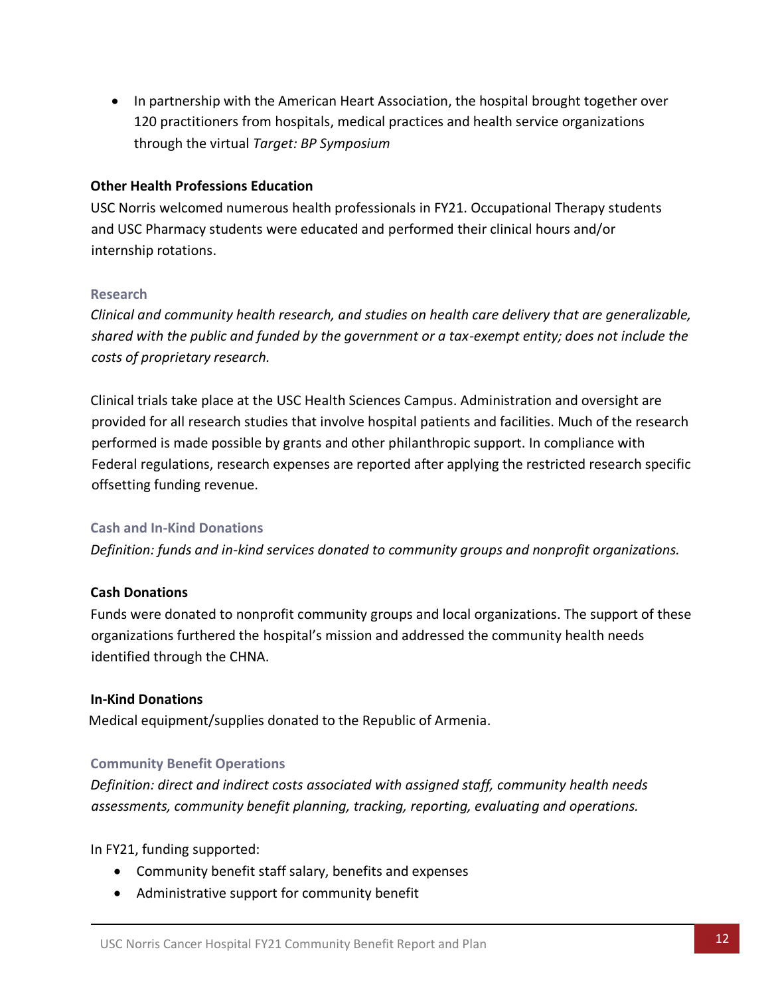• In partnership with the American Heart Association, the hospital brought together over 120 practitioners from hospitals, medical practices and health service organizations through the virtual *Target: BP Symposium*

#### **Other Health Professions Education**

USC Norris welcomed numerous health professionals in FY21. Occupational Therapy students and USC Pharmacy students were educated and performed their clinical hours and/or internship rotations.

#### **Research**

*Clinical and community health research, and studies on health care delivery that are generalizable, shared with the public and funded by the government or a tax-exempt entity; does not include the costs of proprietary research.*

Clinical trials take place at the USC Health Sciences Campus. Administration and oversight are provided for all research studies that involve hospital patients and facilities. Much of the research performed is made possible by grants and other philanthropic support. In compliance with Federal regulations, research expenses are reported after applying the restricted research specific offsetting funding revenue.

#### **Cash and In-Kind Donations**

*Definition: funds and in-kind services donated to community groups and nonprofit organizations.*

#### **Cash Donations**

Funds were donated to nonprofit community groups and local organizations. The support of these organizations furthered the hospital's mission and addressed the community health needs identified through the CHNA.

#### **In-Kind Donations**

Medical equipment/supplies donated to the Republic of Armenia.

#### **Community Benefit Operations**

*Definition: direct and indirect costs associated with assigned staff, community health needs assessments, community benefit planning, tracking, reporting, evaluating and operations.* 

In FY21, funding supported:

- Community benefit staff salary, benefits and expenses
- Administrative support for community benefit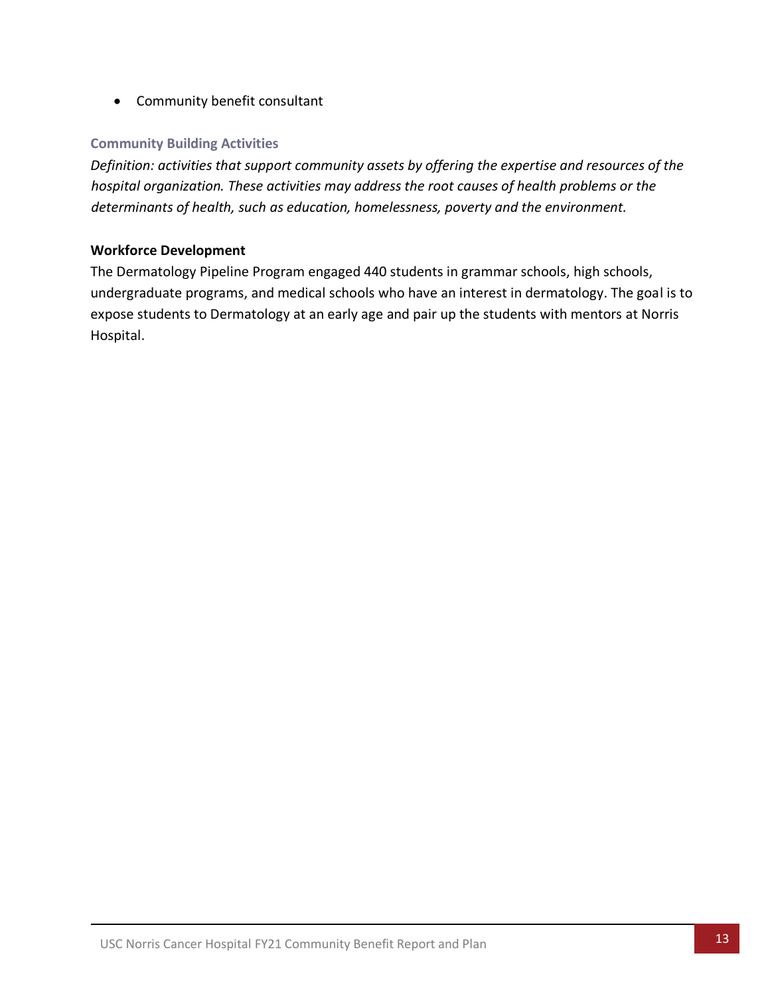• Community benefit consultant

#### **Community Building Activities**

*Definition: activities that support community assets by offering the expertise and resources of the hospital organization. These activities may address the root causes of health problems or the determinants of health, such as education, homelessness, poverty and the environment.*

#### **Workforce Development**

The Dermatology Pipeline Program engaged 440 students in grammar schools, high schools, undergraduate programs, and medical schools who have an interest in dermatology. The goal is to expose students to Dermatology at an early age and pair up the students with mentors at Norris Hospital.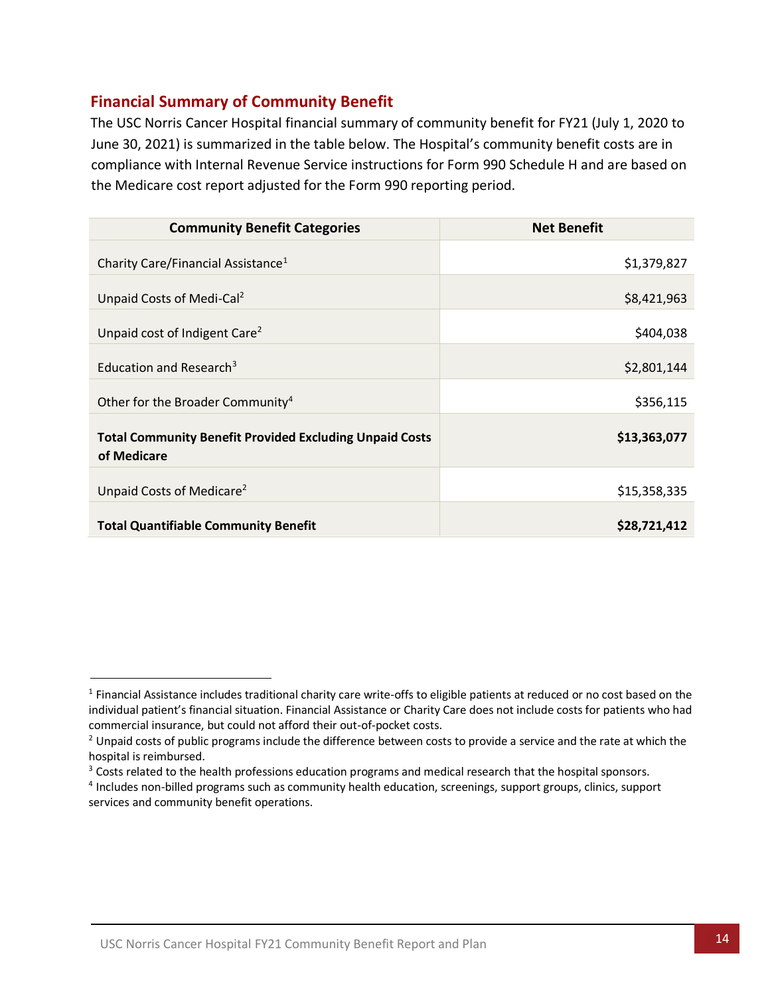# <span id="page-18-0"></span>**Financial Summary of Community Benefit**

The USC Norris Cancer Hospital financial summary of community benefit for FY21 (July 1, 2020 to June 30, 2021) is summarized in the table below. The Hospital's community benefit costs are in compliance with Internal Revenue Service instructions for Form 990 Schedule H and are based on the Medicare cost report adjusted for the Form 990 reporting period.

| <b>Community Benefit Categories</b>                                           | <b>Net Benefit</b> |
|-------------------------------------------------------------------------------|--------------------|
| Charity Care/Financial Assistance <sup>1</sup>                                | \$1,379,827        |
| Unpaid Costs of Medi-Cal <sup>2</sup>                                         | \$8,421,963        |
| Unpaid cost of Indigent Care <sup>2</sup>                                     | \$404,038          |
| Education and Research <sup>3</sup>                                           | \$2,801,144        |
| Other for the Broader Community <sup>4</sup>                                  | \$356,115          |
| <b>Total Community Benefit Provided Excluding Unpaid Costs</b><br>of Medicare | \$13,363,077       |
| Unpaid Costs of Medicare <sup>2</sup>                                         | \$15,358,335       |
| <b>Total Quantifiable Community Benefit</b>                                   | \$28,721,412       |

<sup>&</sup>lt;sup>1</sup> Financial Assistance includes traditional charity care write-offs to eligible patients at reduced or no cost based on the individual patient's financial situation. Financial Assistance or Charity Care does not include costs for patients who had commercial insurance, but could not afford their out-of-pocket costs.

 $2$  Unpaid costs of public programs include the difference between costs to provide a service and the rate at which the hospital is reimbursed.

<sup>&</sup>lt;sup>3</sup> Costs related to the health professions education programs and medical research that the hospital sponsors.

<sup>4</sup> Includes non-billed programs such as community health education, screenings, support groups, clinics, support services and community benefit operations.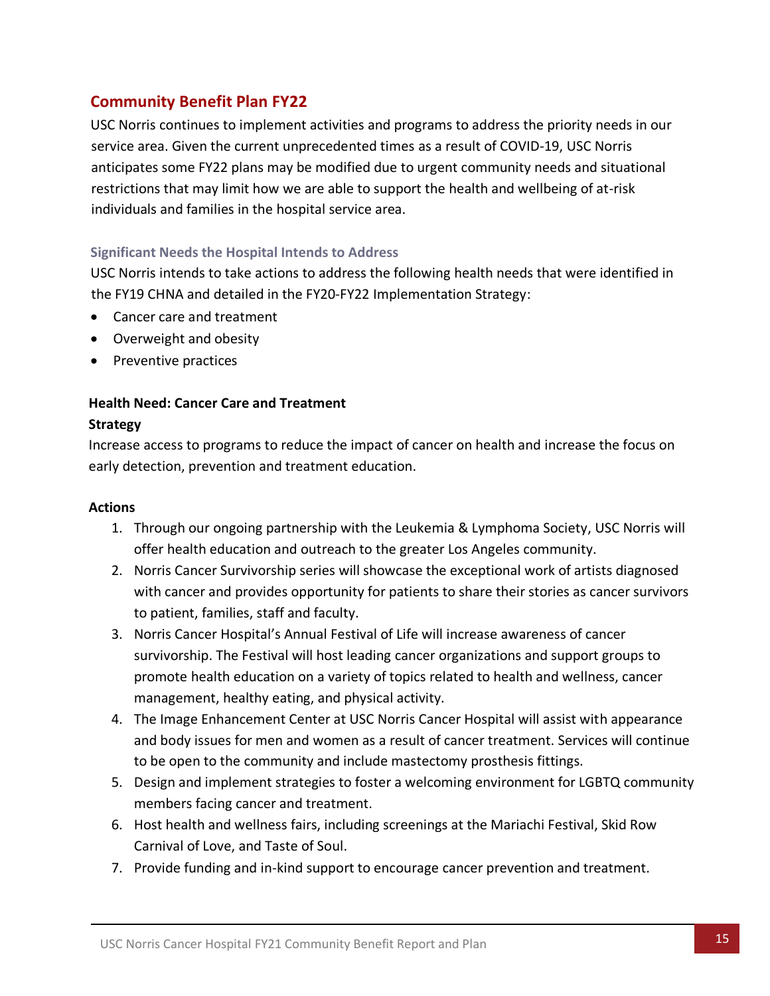# <span id="page-19-0"></span>**Community Benefit Plan FY22**

USC Norris continues to implement activities and programs to address the priority needs in our service area. Given the current unprecedented times as a result of COVID-19, USC Norris anticipates some FY22 plans may be modified due to urgent community needs and situational restrictions that may limit how we are able to support the health and wellbeing of at-risk individuals and families in the hospital service area.

### <span id="page-19-1"></span>**Significant Needs the Hospital Intends to Address**

USC Norris intends to take actions to address the following health needs that were identified in the FY19 CHNA and detailed in the FY20-FY22 Implementation Strategy:

- Cancer care and treatment
- Overweight and obesity
- Preventive practices

### **Health Need: Cancer Care and Treatment**

### **Strategy**

Increase access to programs to reduce the impact of cancer on health and increase the focus on early detection, prevention and treatment education.

### **Actions**

- 1. Through our ongoing partnership with the Leukemia & Lymphoma Society, USC Norris will offer health education and outreach to the greater Los Angeles community.
- 2. Norris Cancer Survivorship series will showcase the exceptional work of artists diagnosed with cancer and provides opportunity for patients to share their stories as cancer survivors to patient, families, staff and faculty.
- 3. Norris Cancer Hospital's Annual Festival of Life will increase awareness of cancer survivorship. The Festival will host leading cancer organizations and support groups to promote health education on a variety of topics related to health and wellness, cancer management, healthy eating, and physical activity.
- 4. The Image Enhancement Center at USC Norris Cancer Hospital will assist with appearance and body issues for men and women as a result of cancer treatment. Services will continue to be open to the community and include mastectomy prosthesis fittings.
- 5. Design and implement strategies to foster a welcoming environment for LGBTQ community members facing cancer and treatment.
- 6. Host health and wellness fairs, including screenings at the Mariachi Festival, Skid Row Carnival of Love, and Taste of Soul.
- 7. Provide funding and in-kind support to encourage cancer prevention and treatment.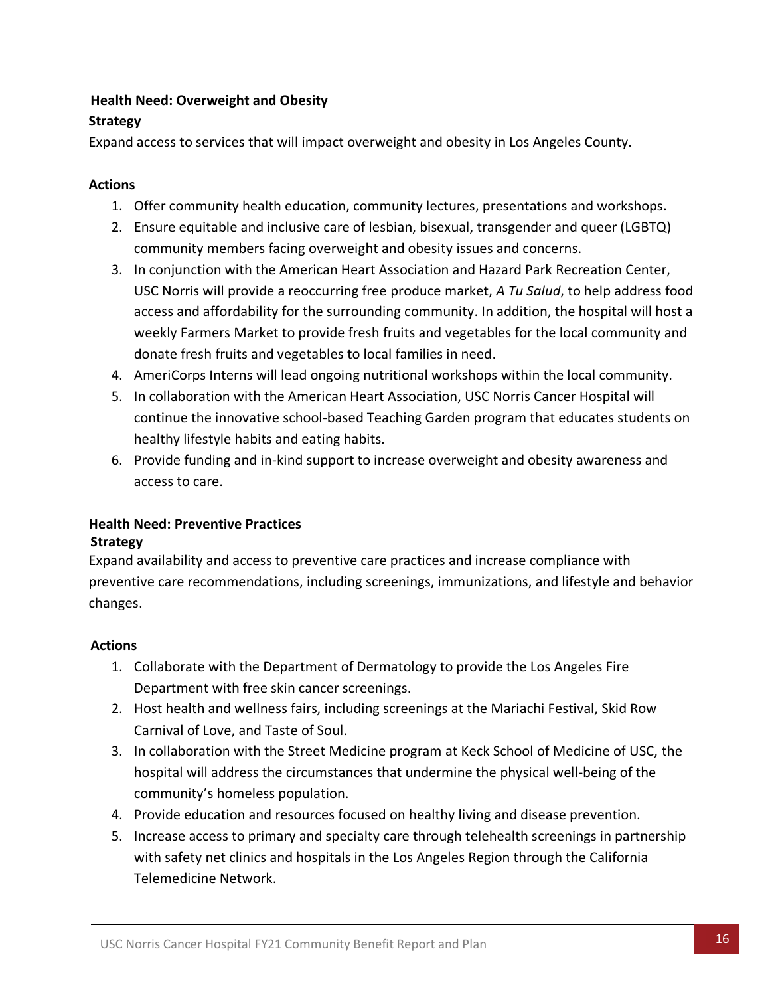# **Health Need: Overweight and Obesity**

# **Strategy**

Expand access to services that will impact overweight and obesity in Los Angeles County.

# **Actions**

- 1. Offer community health education, community lectures, presentations and workshops.
- 2. Ensure equitable and inclusive care of lesbian, bisexual, transgender and queer (LGBTQ) community members facing overweight and obesity issues and concerns.
- 3. In conjunction with the American Heart Association and Hazard Park Recreation Center, USC Norris will provide a reoccurring free produce market, *A Tu Salud*, to help address food access and affordability for the surrounding community. In addition, the hospital will host a weekly Farmers Market to provide fresh fruits and vegetables for the local community and donate fresh fruits and vegetables to local families in need.
- 4. AmeriCorps Interns will lead ongoing nutritional workshops within the local community.
- 5. In collaboration with the American Heart Association, USC Norris Cancer Hospital will continue the innovative school-based Teaching Garden program that educates students on healthy lifestyle habits and eating habits.
- 6. Provide funding and in-kind support to increase overweight and obesity awareness and access to care.

# **Health Need: Preventive Practices**

# **Strategy**

Expand availability and access to preventive care practices and increase compliance with preventive care recommendations, including screenings, immunizations, and lifestyle and behavior changes.

# **Actions**

- 1. Collaborate with the Department of Dermatology to provide the Los Angeles Fire Department with free skin cancer screenings.
- 2. Host health and wellness fairs, including screenings at the Mariachi Festival, Skid Row Carnival of Love, and Taste of Soul.
- 3. In collaboration with the Street Medicine program at Keck School of Medicine of USC, the hospital will address the circumstances that undermine the physical well-being of the community's homeless population.
- 4. Provide education and resources focused on healthy living and disease prevention.
- 5. Increase access to primary and specialty care through telehealth screenings in partnership with safety net clinics and hospitals in the Los Angeles Region through the California Telemedicine Network.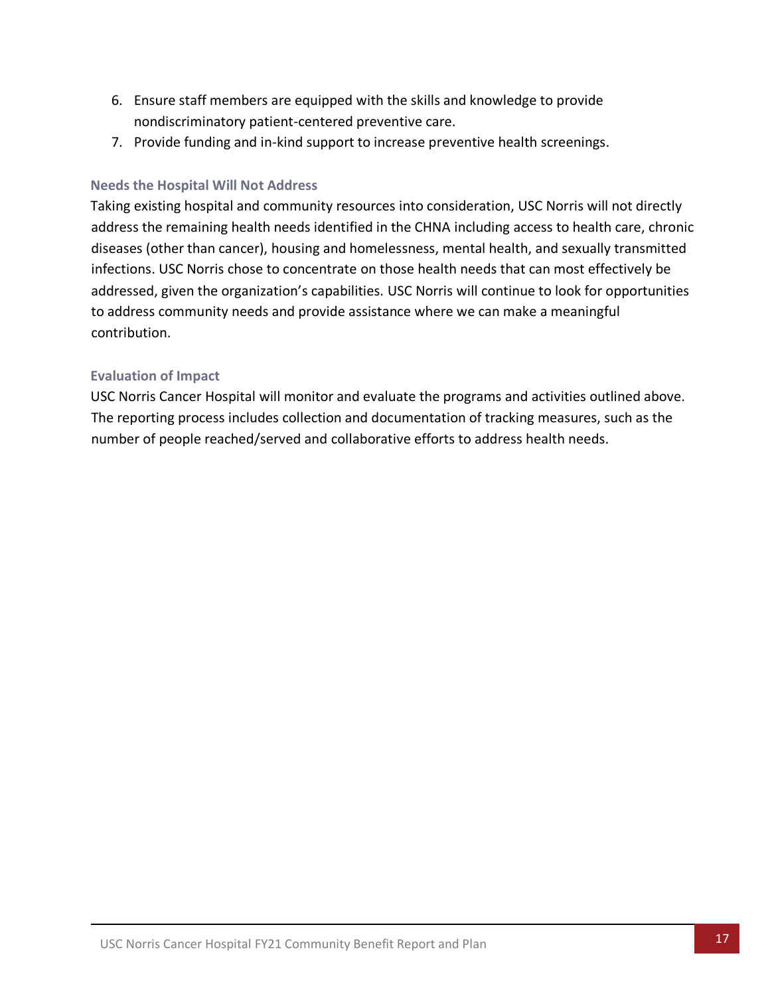- 6. Ensure staff members are equipped with the skills and knowledge to provide nondiscriminatory patient-centered preventive care.
- 7. Provide funding and in-kind support to increase preventive health screenings.

### <span id="page-21-0"></span>**Needs the Hospital Will Not Address**

Taking existing hospital and community resources into consideration, USC Norris will not directly address the remaining health needs identified in the CHNA including access to health care, chronic diseases (other than cancer), housing and homelessness, mental health, and sexually transmitted infections. USC Norris chose to concentrate on those health needs that can most effectively be addressed, given the organization's capabilities. USC Norris will continue to look for opportunities to address community needs and provide assistance where we can make a meaningful contribution.

### <span id="page-21-1"></span>**Evaluation of Impact**

USC Norris Cancer Hospital will monitor and evaluate the programs and activities outlined above. The reporting process includes collection and documentation of tracking measures, such as the number of people reached/served and collaborative efforts to address health needs.